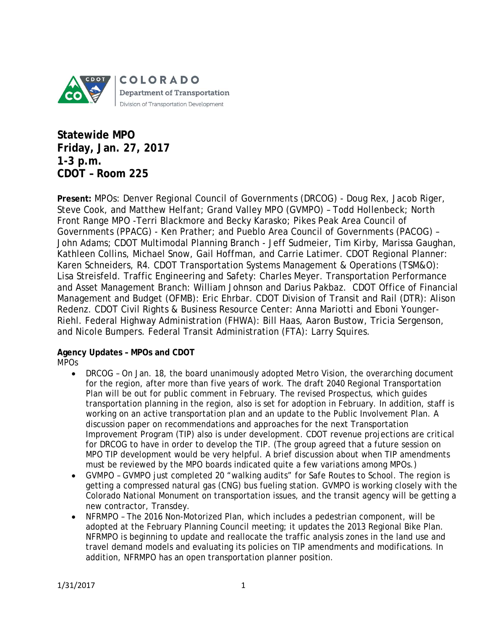

**Statewide MPO Friday, Jan. 27, 2017 1-3 p.m. CDOT – Room 225**

**Present:** MPOs: Denver Regional Council of Governments (DRCOG) - Doug Rex, Jacob Riger, Steve Cook, and Matthew Helfant; Grand Valley MPO (GVMPO) – Todd Hollenbeck; North Front Range MPO -Terri Blackmore and Becky Karasko; Pikes Peak Area Council of Governments (PPACG) - Ken Prather; and Pueblo Area Council of Governments (PACOG) – John Adams; CDOT Multimodal Planning Branch - Jeff Sudmeier, Tim Kirby, Marissa Gaughan, Kathleen Collins, Michael Snow, Gail Hoffman, and Carrie Latimer. CDOT Regional Planner: Karen Schneiders, R4. CDOT Transportation Systems Management & Operations (TSM&O): Lisa Streisfeld. Traffic Engineering and Safety: Charles Meyer. Transportation Performance and Asset Management Branch: William Johnson and Darius Pakbaz. CDOT Office of Financial Management and Budget (OFMB): Eric Ehrbar. CDOT Division of Transit and Rail (DTR): Alison Redenz. CDOT Civil Rights & Business Resource Center: Anna Mariotti and Eboni Younger-Riehl. Federal Highway Administration (FHWA): Bill Haas, Aaron Bustow, Tricia Sergenson, and Nicole Bumpers. Federal Transit Administration (FTA): Larry Squires.

#### **Agency Updates – MPOs and CDOT** *MPOs*

- *DRCOG* On Jan. 18, the board unanimously adopted Metro Vision, the overarching document for the region, after more than five years of work. The draft 2040 Regional Transportation Plan will be out for public comment in February. The revised Prospectus, which guides transportation planning in the region, also is set for adoption in February. In addition, staff is working on an active transportation plan and an update to the Public Involvement Plan. A discussion paper on recommendations and approaches for the next Transportation Improvement Program (TIP) also is under development. CDOT revenue projections are critical for DRCOG to have in order to develop the TIP. (The group agreed that a future session on MPO TIP development would be very helpful. A brief discussion about when TIP amendments must be reviewed by the MPO boards indicated quite a few variations among MPOs.)
- *GVMPO* GVMPO just completed 20 "walking audits" for Safe Routes to School. The region is getting a compressed natural gas (CNG) bus fueling station. GVMPO is working closely with the Colorado National Monument on transportation issues, and the transit agency will be getting a new contractor, Transdey.
- *NFRMPO* The 2016 Non-Motorized Plan, which includes a pedestrian component, will be adopted at the February Planning Council meeting; it updates the 2013 Regional Bike Plan. NFRMPO is beginning to update and reallocate the traffic analysis zones in the land use and travel demand models and evaluating its policies on TIP amendments and modifications. In addition, NFRMPO has an open transportation planner position.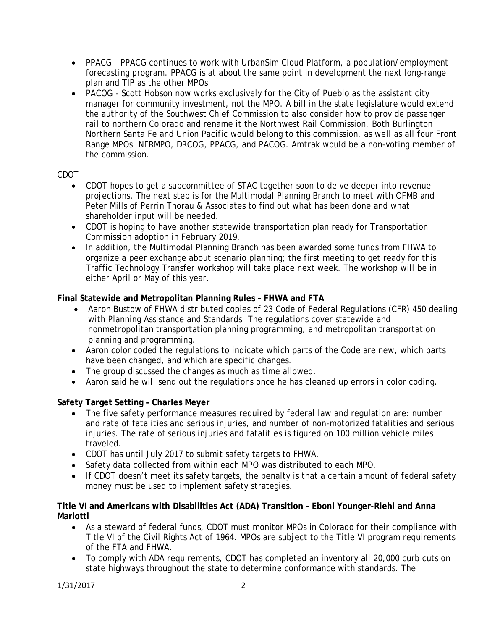- *PPACG* PPACG continues to work with UrbanSim Cloud Platform, a population/employment forecasting program. PPACG is at about the same point in development the next long-range plan and TIP as the other MPOs.
- *PACOG* Scott Hobson now works exclusively for the City of Pueblo as the assistant city manager for community investment, not the MPO. A bill in the state legislature would extend the authority of the Southwest Chief Commission to also consider how to provide passenger rail to northern Colorado and rename it the Northwest Rail Commission. Both Burlington Northern Santa Fe and Union Pacific would belong to this commission, as well as all four Front Range MPOs: NFRMPO, DRCOG, PPACG, and PACOG. Amtrak would be a non-voting member of the commission.

## *CDOT*

- CDOT hopes to get a subcommittee of STAC together soon to delve deeper into revenue projections. The next step is for the Multimodal Planning Branch to meet with OFMB and Peter Mills of Perrin Thorau & Associates to find out what has been done and what shareholder input will be needed.
- CDOT is hoping to have another statewide transportation plan ready for Transportation Commission adoption in February 2019.
- In addition, the Multimodal Planning Branch has been awarded some funds from FHWA to organize a peer exchange about scenario planning; the first meeting to get ready for this Traffic Technology Transfer workshop will take place next week. The workshop will be in either April or May of this year.

## **Final Statewide and Metropolitan Planning Rules – FHWA and FTA**

- Aaron Bustow of FHWA distributed copies of 23 Code of Federal Regulations (CFR) 450 dealing with Planning Assistance and Standards. The regulations cover statewide and nonmetropolitan transportation planning programming, and metropolitan transportation planning and programming.
- Aaron color coded the regulations to indicate which parts of the Code are new, which parts have been changed, and which are specific changes.
- The group discussed the changes as much as time allowed.
- Aaron said he will send out the regulations once he has cleaned up errors in color coding.

## **Safety Target Setting – Charles Meyer**

- The five safety performance measures required by federal law and regulation are: number and rate of fatalities and serious injuries, and number of non-motorized fatalities and serious injuries. The rate of serious injuries and fatalities is figured on 100 million vehicle miles traveled.
- CDOT has until July 2017 to submit safety targets to FHWA.
- Safety data collected from within each MPO was distributed to each MPO.
- If CDOT doesn't meet its safety targets, the penalty is that a certain amount of federal safety money must be used to implement safety strategies.

#### **Title VI and Americans with Disabilities Act (ADA) Transition – Eboni Younger-Riehl and Anna Mariotti**

- As a steward of federal funds, CDOT must monitor MPOs in Colorado for their compliance with Title VI of the Civil Rights Act of 1964. MPOs are subject to the Title VI program requirements of the FTA and FHWA.
- To comply with ADA requirements, CDOT has completed an inventory all 20,000 curb cuts on state highways throughout the state to determine conformance with standards. The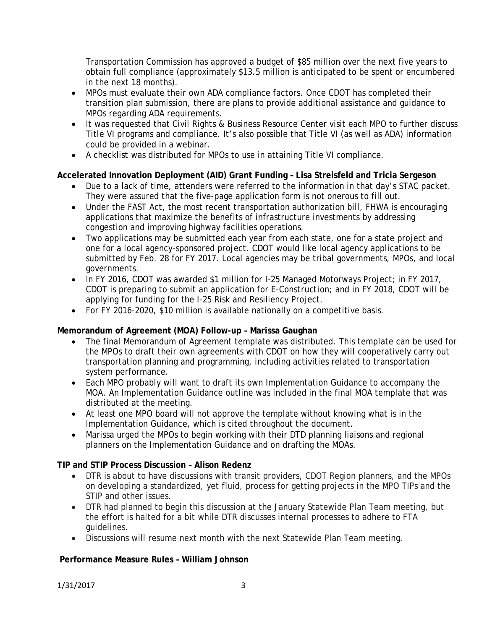Transportation Commission has approved a budget of \$85 million over the next five years to obtain full compliance (approximately \$13.5 million is anticipated to be spent or encumbered in the next 18 months).

- MPOs must evaluate their own ADA compliance factors. Once CDOT has completed their transition plan submission, there are plans to provide additional assistance and guidance to MPOs regarding ADA requirements.
- It was requested that Civil Rights & Business Resource Center visit each MPO to further discuss Title VI programs and compliance. It's also possible that Title VI (as well as ADA) information could be provided in a webinar.
- A checklist was distributed for MPOs to use in attaining Title VI compliance.

# **Accelerated Innovation Deployment (AID) Grant Funding – Lisa Streisfeld and Tricia Sergeson**

- Due to a lack of time, attenders were referred to the information in that day's STAC packet. They were assured that the five-page application form is not onerous to fill out.
- Under the FAST Act, the most recent transportation authorization bill, FHWA is encouraging applications that maximize the benefits of infrastructure investments by addressing congestion and improving highway facilities operations.
- Two applications may be submitted each year from each state, one for a state project and one for a local agency-sponsored project. CDOT would like local agency applications to be submitted by Feb. 28 for FY 2017. Local agencies may be tribal governments, MPOs, and local governments.
- In FY 2016, CDOT was awarded \$1 million for I-25 Managed Motorways Project; in FY 2017, CDOT is preparing to submit an application for *E-Construction*; and in FY 2018, CDOT will be applying for funding for the I-25 Risk and Resiliency Project.
- For FY 2016-2020, \$10 million is available nationally on a competitive basis.

## **Memorandum of Agreement (MOA) Follow-up – Marissa Gaughan**

- The final Memorandum of Agreement template was distributed. This template can be used for the MPOs to draft their own agreements with CDOT on how they will cooperatively carry out transportation planning and programming, including activities related to transportation system performance.
- Each MPO probably will want to draft its own Implementation Guidance to accompany the MOA. An Implementation Guidance outline was included in the final MOA template that was distributed at the meeting.
- At least one MPO board will not approve the template without knowing what is in the Implementation Guidance, which is cited throughout the document.
- Marissa urged the MPOs to begin working with their DTD planning liaisons and regional planners on the Implementation Guidance and on drafting the MOAs.

## **TIP and STIP Process Discussion – Alison Redenz**

- DTR is about to have discussions with transit providers, CDOT Region planners, and the MPOs on developing a standardized, yet fluid, process for getting projects in the MPO TIPs and the STIP and other issues.
- DTR had planned to begin this discussion at the January Statewide Plan Team meeting, but the effort is halted for a bit while DTR discusses internal processes to adhere to FTA guidelines.
- Discussions will resume next month with the next Statewide Plan Team meeting.

## **Performance Measure Rules – William Johnson**

1/31/2017 3